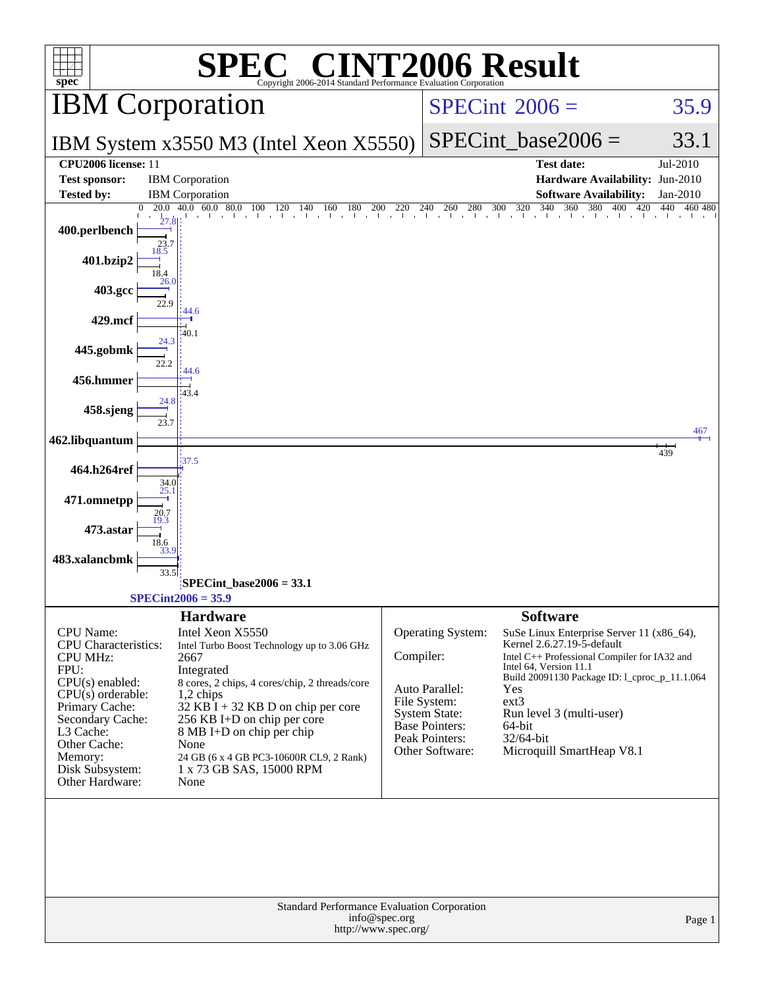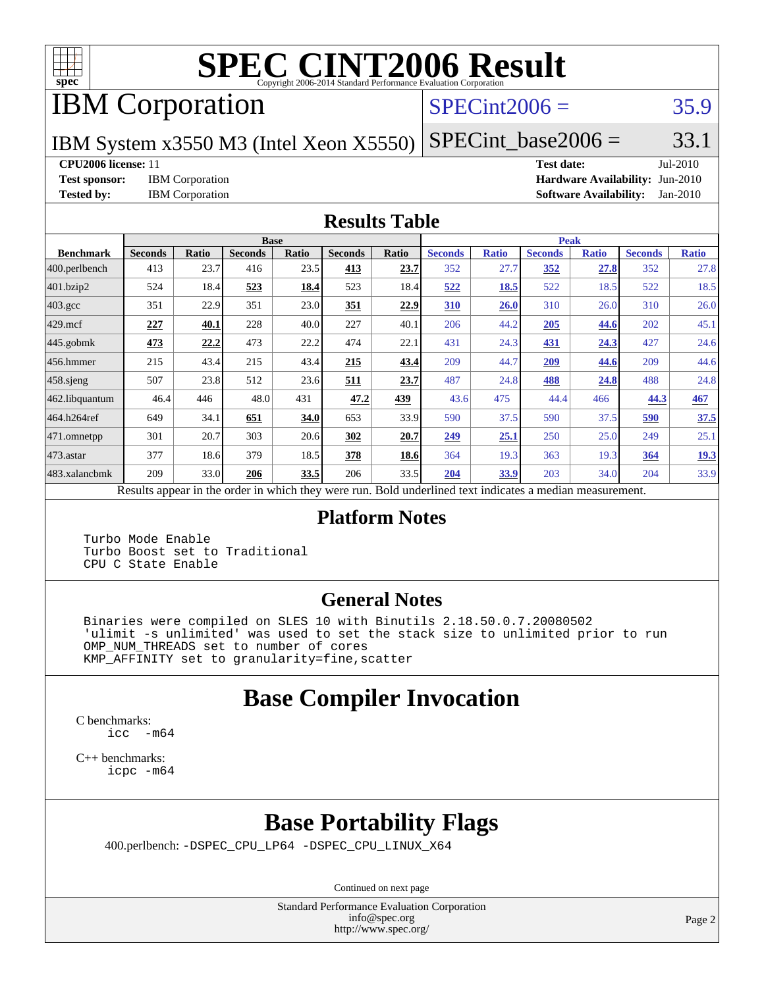

# **[SPEC CINT2006 Result](http://www.spec.org/auto/cpu2006/Docs/result-fields.html#SPECCINT2006Result)**

IBM Corporation

#### $SPECint2006 = 35.9$  $SPECint2006 = 35.9$

IBM System x3550 M3 (Intel Xeon X5550)

 $SPECTnt\_base2006 = 33.1$ 

**[CPU2006 license:](http://www.spec.org/auto/cpu2006/Docs/result-fields.html#CPU2006license)** 11 **[Test date:](http://www.spec.org/auto/cpu2006/Docs/result-fields.html#Testdate)** Jul-2010

**[Test sponsor:](http://www.spec.org/auto/cpu2006/Docs/result-fields.html#Testsponsor)** IBM Corporation **[Hardware Availability:](http://www.spec.org/auto/cpu2006/Docs/result-fields.html#HardwareAvailability)** Jun-2010 **[Tested by:](http://www.spec.org/auto/cpu2006/Docs/result-fields.html#Testedby)** IBM Corporation **[Software Availability:](http://www.spec.org/auto/cpu2006/Docs/result-fields.html#SoftwareAvailability)** Jan-2010

#### **[Results Table](http://www.spec.org/auto/cpu2006/Docs/result-fields.html#ResultsTable)**

|                       | <b>Base</b>                                                                                              |              |                |       |                | <b>Peak</b> |                |              |                |              |                |              |
|-----------------------|----------------------------------------------------------------------------------------------------------|--------------|----------------|-------|----------------|-------------|----------------|--------------|----------------|--------------|----------------|--------------|
| <b>Benchmark</b>      | <b>Seconds</b>                                                                                           | <b>Ratio</b> | <b>Seconds</b> | Ratio | <b>Seconds</b> | Ratio       | <b>Seconds</b> | <b>Ratio</b> | <b>Seconds</b> | <b>Ratio</b> | <b>Seconds</b> | <b>Ratio</b> |
| 400.perlbench         | 413                                                                                                      | 23.7         | 416            | 23.5  | 413            | 23.7        | 352            | 27.7         | 352            | 27.8         | 352            | 27.8         |
| 401.bzip2             | 524                                                                                                      | 18.4         | 523            | 18.4  | 523            | 18.4        | 522            | <u>18.5</u>  | 522            | 18.5         | 522            | 18.5         |
| $403.\mathrm{gcc}$    | 351                                                                                                      | 22.9         | 351            | 23.0  | 351            | 22.9        | 310            | 26.0         | 310            | 26.0         | 310            | 26.0         |
| $429$ mcf             | 227                                                                                                      | 40.1         | 228            | 40.0  | 227            | 40.1        | 206            | 44.2         | 205            | 44.6         | 202            | 45.1         |
| $445$ .gobmk          | 473                                                                                                      | 22,2         | 473            | 22.2  | 474            | 22.1        | 431            | 24.3         | 431            | 24.3         | 427            | 24.6         |
| $ 456$ .hmmer         | 215                                                                                                      | 43.4         | 215            | 43.4  | 215            | 43.4        | 209            | 44.7         | 209            | 44.6         | 209            | 44.6         |
| $ 458 \text{.}$ sjeng | 507                                                                                                      | 23.8         | 512            | 23.6  | 511            | 23.7        | 487            | 24.8         | 488            | 24.8         | 488            | 24.8         |
| 462.libquantum        | 46.4                                                                                                     | 446          | 48.0           | 431   | 47.2           | <u>439</u>  | 43.6           | 475          | 44.4           | 466          | 44.3           | 467          |
| 464.h264ref           | 649                                                                                                      | 34.1         | 651            | 34.0  | 653            | 33.9        | 590            | 37.5         | 590            | 37.5         | 590            | 37.5         |
| $ 471$ .omnetpp       | 301                                                                                                      | 20.7         | 303            | 20.6  | 302            | 20.7        | 249            | 25.1         | 250            | 25.0         | 249            | 25.1         |
| $473$ . astar         | 377                                                                                                      | 18.6         | 379            | 18.5  | 378            | 18.6        | 364            | 19.3         | 363            | 19.3         | 364            | 19.3         |
| 483.xalancbmk         | 209                                                                                                      | 33.0         | 206            | 33.5  | 206            | 33.5        | 204            | 33.9         | 203            | 34.0         | 204            | 33.9         |
|                       | Results appear in the order in which they were run. Bold underlined text indicates a median measurement. |              |                |       |                |             |                |              |                |              |                |              |

#### **[Platform Notes](http://www.spec.org/auto/cpu2006/Docs/result-fields.html#PlatformNotes)**

 Turbo Mode Enable Turbo Boost set to Traditional CPU C State Enable

#### **[General Notes](http://www.spec.org/auto/cpu2006/Docs/result-fields.html#GeneralNotes)**

 Binaries were compiled on SLES 10 with Binutils 2.18.50.0.7.20080502 'ulimit -s unlimited' was used to set the stack size to unlimited prior to run OMP\_NUM\_THREADS set to number of cores KMP\_AFFINITY set to granularity=fine,scatter

### **[Base Compiler Invocation](http://www.spec.org/auto/cpu2006/Docs/result-fields.html#BaseCompilerInvocation)**

[C benchmarks](http://www.spec.org/auto/cpu2006/Docs/result-fields.html#Cbenchmarks): [icc -m64](http://www.spec.org/cpu2006/results/res2010q3/cpu2006-20100719-12533.flags.html#user_CCbase_intel_icc_64bit_f346026e86af2a669e726fe758c88044)

[C++ benchmarks:](http://www.spec.org/auto/cpu2006/Docs/result-fields.html#CXXbenchmarks) [icpc -m64](http://www.spec.org/cpu2006/results/res2010q3/cpu2006-20100719-12533.flags.html#user_CXXbase_intel_icpc_64bit_fc66a5337ce925472a5c54ad6a0de310)

## **[Base Portability Flags](http://www.spec.org/auto/cpu2006/Docs/result-fields.html#BasePortabilityFlags)**

400.perlbench: [-DSPEC\\_CPU\\_LP64](http://www.spec.org/cpu2006/results/res2010q3/cpu2006-20100719-12533.flags.html#b400.perlbench_basePORTABILITY_DSPEC_CPU_LP64) [-DSPEC\\_CPU\\_LINUX\\_X64](http://www.spec.org/cpu2006/results/res2010q3/cpu2006-20100719-12533.flags.html#b400.perlbench_baseCPORTABILITY_DSPEC_CPU_LINUX_X64)

Continued on next page

Standard Performance Evaluation Corporation [info@spec.org](mailto:info@spec.org) <http://www.spec.org/>

Page 2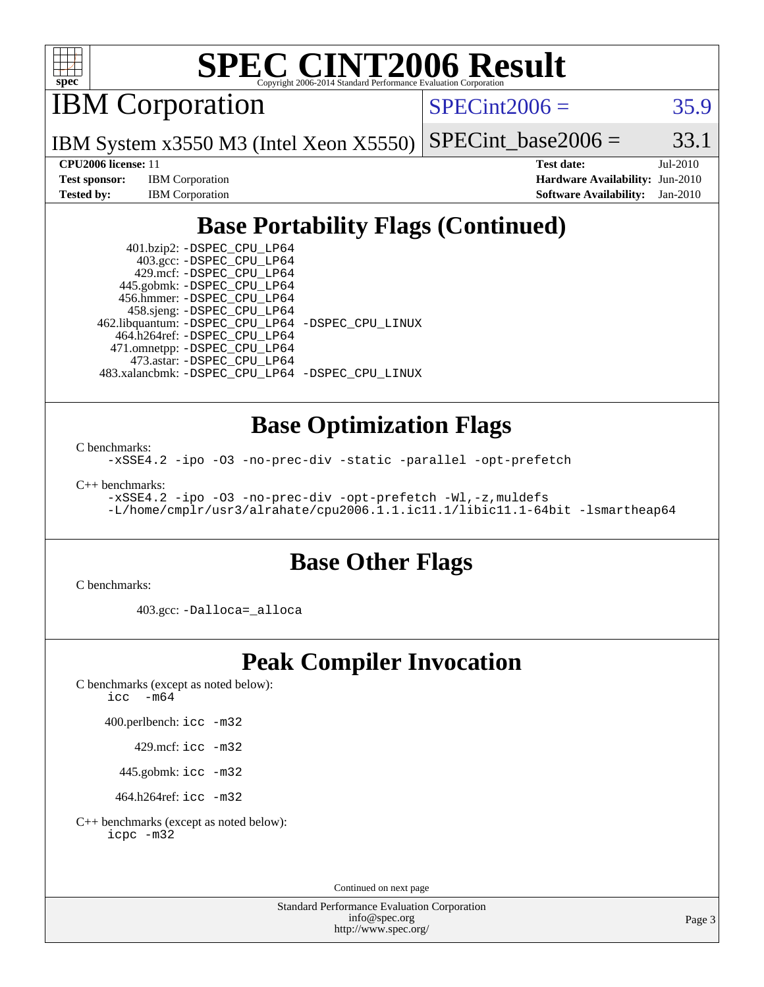

# **[SPEC CINT2006 Result](http://www.spec.org/auto/cpu2006/Docs/result-fields.html#SPECCINT2006Result)**

IBM Corporation

 $SPECint2006 = 35.9$  $SPECint2006 = 35.9$ 

IBM System x3550 M3 (Intel Xeon X5550)  $SPECTnt\_base2006 = 33.1$ 

**[Test sponsor:](http://www.spec.org/auto/cpu2006/Docs/result-fields.html#Testsponsor)** IBM Corporation **[Hardware Availability:](http://www.spec.org/auto/cpu2006/Docs/result-fields.html#HardwareAvailability)** Jun-2010

**[CPU2006 license:](http://www.spec.org/auto/cpu2006/Docs/result-fields.html#CPU2006license)** 11 **[Test date:](http://www.spec.org/auto/cpu2006/Docs/result-fields.html#Testdate)** Jul-2010 **[Tested by:](http://www.spec.org/auto/cpu2006/Docs/result-fields.html#Testedby)** IBM Corporation **[Software Availability:](http://www.spec.org/auto/cpu2006/Docs/result-fields.html#SoftwareAvailability)** Jan-2010

## **[Base Portability Flags \(Continued\)](http://www.spec.org/auto/cpu2006/Docs/result-fields.html#BasePortabilityFlags)**

 401.bzip2: [-DSPEC\\_CPU\\_LP64](http://www.spec.org/cpu2006/results/res2010q3/cpu2006-20100719-12533.flags.html#suite_basePORTABILITY401_bzip2_DSPEC_CPU_LP64) 403.gcc: [-DSPEC\\_CPU\\_LP64](http://www.spec.org/cpu2006/results/res2010q3/cpu2006-20100719-12533.flags.html#suite_basePORTABILITY403_gcc_DSPEC_CPU_LP64) 429.mcf: [-DSPEC\\_CPU\\_LP64](http://www.spec.org/cpu2006/results/res2010q3/cpu2006-20100719-12533.flags.html#suite_basePORTABILITY429_mcf_DSPEC_CPU_LP64) 445.gobmk: [-DSPEC\\_CPU\\_LP64](http://www.spec.org/cpu2006/results/res2010q3/cpu2006-20100719-12533.flags.html#suite_basePORTABILITY445_gobmk_DSPEC_CPU_LP64) 456.hmmer: [-DSPEC\\_CPU\\_LP64](http://www.spec.org/cpu2006/results/res2010q3/cpu2006-20100719-12533.flags.html#suite_basePORTABILITY456_hmmer_DSPEC_CPU_LP64) 458.sjeng: [-DSPEC\\_CPU\\_LP64](http://www.spec.org/cpu2006/results/res2010q3/cpu2006-20100719-12533.flags.html#suite_basePORTABILITY458_sjeng_DSPEC_CPU_LP64) 462.libquantum: [-DSPEC\\_CPU\\_LP64](http://www.spec.org/cpu2006/results/res2010q3/cpu2006-20100719-12533.flags.html#suite_basePORTABILITY462_libquantum_DSPEC_CPU_LP64) [-DSPEC\\_CPU\\_LINUX](http://www.spec.org/cpu2006/results/res2010q3/cpu2006-20100719-12533.flags.html#b462.libquantum_baseCPORTABILITY_DSPEC_CPU_LINUX) 464.h264ref: [-DSPEC\\_CPU\\_LP64](http://www.spec.org/cpu2006/results/res2010q3/cpu2006-20100719-12533.flags.html#suite_basePORTABILITY464_h264ref_DSPEC_CPU_LP64) 471.omnetpp: [-DSPEC\\_CPU\\_LP64](http://www.spec.org/cpu2006/results/res2010q3/cpu2006-20100719-12533.flags.html#suite_basePORTABILITY471_omnetpp_DSPEC_CPU_LP64) 473.astar: [-DSPEC\\_CPU\\_LP64](http://www.spec.org/cpu2006/results/res2010q3/cpu2006-20100719-12533.flags.html#suite_basePORTABILITY473_astar_DSPEC_CPU_LP64) 483.xalancbmk: [-DSPEC\\_CPU\\_LP64](http://www.spec.org/cpu2006/results/res2010q3/cpu2006-20100719-12533.flags.html#suite_basePORTABILITY483_xalancbmk_DSPEC_CPU_LP64) [-DSPEC\\_CPU\\_LINUX](http://www.spec.org/cpu2006/results/res2010q3/cpu2006-20100719-12533.flags.html#b483.xalancbmk_baseCXXPORTABILITY_DSPEC_CPU_LINUX)

#### **[Base Optimization Flags](http://www.spec.org/auto/cpu2006/Docs/result-fields.html#BaseOptimizationFlags)**

[C benchmarks](http://www.spec.org/auto/cpu2006/Docs/result-fields.html#Cbenchmarks):

[-xSSE4.2](http://www.spec.org/cpu2006/results/res2010q3/cpu2006-20100719-12533.flags.html#user_CCbase_f-xSSE42_f91528193cf0b216347adb8b939d4107) [-ipo](http://www.spec.org/cpu2006/results/res2010q3/cpu2006-20100719-12533.flags.html#user_CCbase_f-ipo) [-O3](http://www.spec.org/cpu2006/results/res2010q3/cpu2006-20100719-12533.flags.html#user_CCbase_f-O3) [-no-prec-div](http://www.spec.org/cpu2006/results/res2010q3/cpu2006-20100719-12533.flags.html#user_CCbase_f-no-prec-div) [-static](http://www.spec.org/cpu2006/results/res2010q3/cpu2006-20100719-12533.flags.html#user_CCbase_f-static) [-parallel](http://www.spec.org/cpu2006/results/res2010q3/cpu2006-20100719-12533.flags.html#user_CCbase_f-parallel) [-opt-prefetch](http://www.spec.org/cpu2006/results/res2010q3/cpu2006-20100719-12533.flags.html#user_CCbase_f-opt-prefetch)

[C++ benchmarks:](http://www.spec.org/auto/cpu2006/Docs/result-fields.html#CXXbenchmarks)

[-xSSE4.2](http://www.spec.org/cpu2006/results/res2010q3/cpu2006-20100719-12533.flags.html#user_CXXbase_f-xSSE42_f91528193cf0b216347adb8b939d4107) [-ipo](http://www.spec.org/cpu2006/results/res2010q3/cpu2006-20100719-12533.flags.html#user_CXXbase_f-ipo) [-O3](http://www.spec.org/cpu2006/results/res2010q3/cpu2006-20100719-12533.flags.html#user_CXXbase_f-O3) [-no-prec-div](http://www.spec.org/cpu2006/results/res2010q3/cpu2006-20100719-12533.flags.html#user_CXXbase_f-no-prec-div) [-opt-prefetch](http://www.spec.org/cpu2006/results/res2010q3/cpu2006-20100719-12533.flags.html#user_CXXbase_f-opt-prefetch) [-Wl,-z,muldefs](http://www.spec.org/cpu2006/results/res2010q3/cpu2006-20100719-12533.flags.html#user_CXXbase_link_force_multiple1_74079c344b956b9658436fd1b6dd3a8a) [-L/home/cmplr/usr3/alrahate/cpu2006.1.1.ic11.1/libic11.1-64bit -lsmartheap64](http://www.spec.org/cpu2006/results/res2010q3/cpu2006-20100719-12533.flags.html#user_CXXbase_SmartHeap64_e2306cda84805d1ab360117a79ff779c)

#### **[Base Other Flags](http://www.spec.org/auto/cpu2006/Docs/result-fields.html#BaseOtherFlags)**

[C benchmarks](http://www.spec.org/auto/cpu2006/Docs/result-fields.html#Cbenchmarks):

403.gcc: [-Dalloca=\\_alloca](http://www.spec.org/cpu2006/results/res2010q3/cpu2006-20100719-12533.flags.html#b403.gcc_baseEXTRA_CFLAGS_Dalloca_be3056838c12de2578596ca5467af7f3)

#### **[Peak Compiler Invocation](http://www.spec.org/auto/cpu2006/Docs/result-fields.html#PeakCompilerInvocation)**

[C benchmarks \(except as noted below\)](http://www.spec.org/auto/cpu2006/Docs/result-fields.html#Cbenchmarksexceptasnotedbelow): [icc -m64](http://www.spec.org/cpu2006/results/res2010q3/cpu2006-20100719-12533.flags.html#user_CCpeak_intel_icc_64bit_f346026e86af2a669e726fe758c88044)

400.perlbench: [icc -m32](http://www.spec.org/cpu2006/results/res2010q3/cpu2006-20100719-12533.flags.html#user_peakCCLD400_perlbench_intel_icc_32bit_a6a621f8d50482236b970c6ac5f55f93)

429.mcf: [icc -m32](http://www.spec.org/cpu2006/results/res2010q3/cpu2006-20100719-12533.flags.html#user_peakCCLD429_mcf_intel_icc_32bit_a6a621f8d50482236b970c6ac5f55f93)

445.gobmk: [icc -m32](http://www.spec.org/cpu2006/results/res2010q3/cpu2006-20100719-12533.flags.html#user_peakCCLD445_gobmk_intel_icc_32bit_a6a621f8d50482236b970c6ac5f55f93)

464.h264ref: [icc -m32](http://www.spec.org/cpu2006/results/res2010q3/cpu2006-20100719-12533.flags.html#user_peakCCLD464_h264ref_intel_icc_32bit_a6a621f8d50482236b970c6ac5f55f93)

[C++ benchmarks \(except as noted below\):](http://www.spec.org/auto/cpu2006/Docs/result-fields.html#CXXbenchmarksexceptasnotedbelow) [icpc -m32](http://www.spec.org/cpu2006/results/res2010q3/cpu2006-20100719-12533.flags.html#user_CXXpeak_intel_icpc_32bit_4e5a5ef1a53fd332b3c49e69c3330699)

Continued on next page

Standard Performance Evaluation Corporation [info@spec.org](mailto:info@spec.org) <http://www.spec.org/>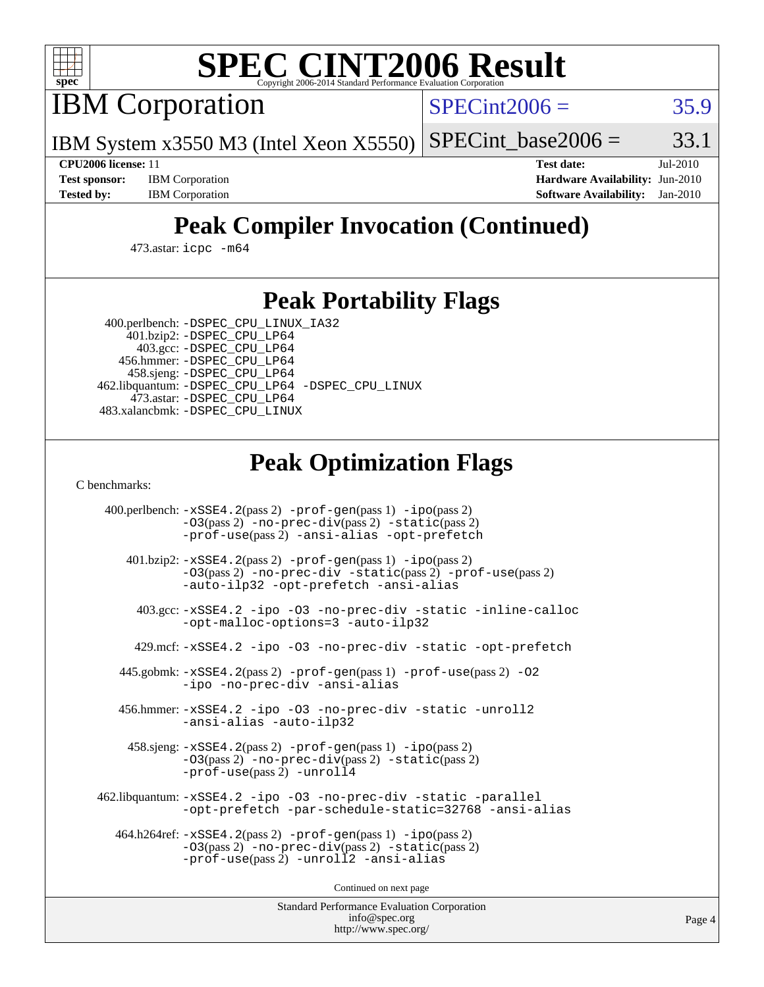

# **[SPEC CINT2006 Result](http://www.spec.org/auto/cpu2006/Docs/result-fields.html#SPECCINT2006Result)**

IBM Corporation

 $SPECint2006 = 35.9$  $SPECint2006 = 35.9$ 

IBM System x3550 M3 (Intel Xeon X5550)  $SPECTnt\_base2006 = 33.1$ 

**[CPU2006 license:](http://www.spec.org/auto/cpu2006/Docs/result-fields.html#CPU2006license)** 11 **[Test date:](http://www.spec.org/auto/cpu2006/Docs/result-fields.html#Testdate)** Jul-2010 **[Test sponsor:](http://www.spec.org/auto/cpu2006/Docs/result-fields.html#Testsponsor)** IBM Corporation **[Hardware Availability:](http://www.spec.org/auto/cpu2006/Docs/result-fields.html#HardwareAvailability)** Jun-2010 **[Tested by:](http://www.spec.org/auto/cpu2006/Docs/result-fields.html#Testedby)** IBM Corporation **[Software Availability:](http://www.spec.org/auto/cpu2006/Docs/result-fields.html#SoftwareAvailability)** Jan-2010

## **[Peak Compiler Invocation \(Continued\)](http://www.spec.org/auto/cpu2006/Docs/result-fields.html#PeakCompilerInvocation)**

473.astar: [icpc -m64](http://www.spec.org/cpu2006/results/res2010q3/cpu2006-20100719-12533.flags.html#user_peakCXXLD473_astar_intel_icpc_64bit_fc66a5337ce925472a5c54ad6a0de310)

#### **[Peak Portability Flags](http://www.spec.org/auto/cpu2006/Docs/result-fields.html#PeakPortabilityFlags)**

 400.perlbench: [-DSPEC\\_CPU\\_LINUX\\_IA32](http://www.spec.org/cpu2006/results/res2010q3/cpu2006-20100719-12533.flags.html#b400.perlbench_peakCPORTABILITY_DSPEC_CPU_LINUX_IA32) 401.bzip2: [-DSPEC\\_CPU\\_LP64](http://www.spec.org/cpu2006/results/res2010q3/cpu2006-20100719-12533.flags.html#suite_peakPORTABILITY401_bzip2_DSPEC_CPU_LP64)

 403.gcc: [-DSPEC\\_CPU\\_LP64](http://www.spec.org/cpu2006/results/res2010q3/cpu2006-20100719-12533.flags.html#suite_peakPORTABILITY403_gcc_DSPEC_CPU_LP64) 456.hmmer: [-DSPEC\\_CPU\\_LP64](http://www.spec.org/cpu2006/results/res2010q3/cpu2006-20100719-12533.flags.html#suite_peakPORTABILITY456_hmmer_DSPEC_CPU_LP64) 458.sjeng: [-DSPEC\\_CPU\\_LP64](http://www.spec.org/cpu2006/results/res2010q3/cpu2006-20100719-12533.flags.html#suite_peakPORTABILITY458_sjeng_DSPEC_CPU_LP64) 462.libquantum: [-DSPEC\\_CPU\\_LP64](http://www.spec.org/cpu2006/results/res2010q3/cpu2006-20100719-12533.flags.html#suite_peakPORTABILITY462_libquantum_DSPEC_CPU_LP64) [-DSPEC\\_CPU\\_LINUX](http://www.spec.org/cpu2006/results/res2010q3/cpu2006-20100719-12533.flags.html#b462.libquantum_peakCPORTABILITY_DSPEC_CPU_LINUX) 473.astar: [-DSPEC\\_CPU\\_LP64](http://www.spec.org/cpu2006/results/res2010q3/cpu2006-20100719-12533.flags.html#suite_peakPORTABILITY473_astar_DSPEC_CPU_LP64) 483.xalancbmk: [-DSPEC\\_CPU\\_LINUX](http://www.spec.org/cpu2006/results/res2010q3/cpu2006-20100719-12533.flags.html#b483.xalancbmk_peakCXXPORTABILITY_DSPEC_CPU_LINUX)

## **[Peak Optimization Flags](http://www.spec.org/auto/cpu2006/Docs/result-fields.html#PeakOptimizationFlags)**

[C benchmarks](http://www.spec.org/auto/cpu2006/Docs/result-fields.html#Cbenchmarks):

 400.perlbench: [-xSSE4.2](http://www.spec.org/cpu2006/results/res2010q3/cpu2006-20100719-12533.flags.html#user_peakPASS2_CFLAGSPASS2_LDCFLAGS400_perlbench_f-xSSE42_f91528193cf0b216347adb8b939d4107)(pass 2) [-prof-gen](http://www.spec.org/cpu2006/results/res2010q3/cpu2006-20100719-12533.flags.html#user_peakPASS1_CFLAGSPASS1_LDCFLAGS400_perlbench_prof_gen_e43856698f6ca7b7e442dfd80e94a8fc)(pass 1) [-ipo](http://www.spec.org/cpu2006/results/res2010q3/cpu2006-20100719-12533.flags.html#user_peakPASS2_CFLAGSPASS2_LDCFLAGS400_perlbench_f-ipo)(pass 2) [-O3](http://www.spec.org/cpu2006/results/res2010q3/cpu2006-20100719-12533.flags.html#user_peakPASS2_CFLAGSPASS2_LDCFLAGS400_perlbench_f-O3)(pass 2) [-no-prec-div](http://www.spec.org/cpu2006/results/res2010q3/cpu2006-20100719-12533.flags.html#user_peakPASS2_CFLAGSPASS2_LDCFLAGS400_perlbench_f-no-prec-div)(pass 2) [-static](http://www.spec.org/cpu2006/results/res2010q3/cpu2006-20100719-12533.flags.html#user_peakPASS2_CFLAGSPASS2_LDCFLAGS400_perlbench_f-static)(pass 2) [-prof-use](http://www.spec.org/cpu2006/results/res2010q3/cpu2006-20100719-12533.flags.html#user_peakPASS2_CFLAGSPASS2_LDCFLAGS400_perlbench_prof_use_bccf7792157ff70d64e32fe3e1250b55)(pass 2) [-ansi-alias](http://www.spec.org/cpu2006/results/res2010q3/cpu2006-20100719-12533.flags.html#user_peakCOPTIMIZE400_perlbench_f-ansi-alias) [-opt-prefetch](http://www.spec.org/cpu2006/results/res2010q3/cpu2006-20100719-12533.flags.html#user_peakCOPTIMIZE400_perlbench_f-opt-prefetch) 401.bzip2: [-xSSE4.2](http://www.spec.org/cpu2006/results/res2010q3/cpu2006-20100719-12533.flags.html#user_peakPASS2_CFLAGSPASS2_LDCFLAGS401_bzip2_f-xSSE42_f91528193cf0b216347adb8b939d4107)(pass 2) [-prof-gen](http://www.spec.org/cpu2006/results/res2010q3/cpu2006-20100719-12533.flags.html#user_peakPASS1_CFLAGSPASS1_LDCFLAGS401_bzip2_prof_gen_e43856698f6ca7b7e442dfd80e94a8fc)(pass 1) [-ipo](http://www.spec.org/cpu2006/results/res2010q3/cpu2006-20100719-12533.flags.html#user_peakPASS2_CFLAGSPASS2_LDCFLAGS401_bzip2_f-ipo)(pass 2) [-O3](http://www.spec.org/cpu2006/results/res2010q3/cpu2006-20100719-12533.flags.html#user_peakPASS2_CFLAGSPASS2_LDCFLAGS401_bzip2_f-O3)(pass 2) [-no-prec-div](http://www.spec.org/cpu2006/results/res2010q3/cpu2006-20100719-12533.flags.html#user_peakCOPTIMIZEPASS2_CFLAGSPASS2_LDCFLAGS401_bzip2_f-no-prec-div) [-static](http://www.spec.org/cpu2006/results/res2010q3/cpu2006-20100719-12533.flags.html#user_peakPASS2_CFLAGSPASS2_LDCFLAGS401_bzip2_f-static)(pass 2) [-prof-use](http://www.spec.org/cpu2006/results/res2010q3/cpu2006-20100719-12533.flags.html#user_peakPASS2_CFLAGSPASS2_LDCFLAGS401_bzip2_prof_use_bccf7792157ff70d64e32fe3e1250b55)(pass 2) [-auto-ilp32](http://www.spec.org/cpu2006/results/res2010q3/cpu2006-20100719-12533.flags.html#user_peakCOPTIMIZE401_bzip2_f-auto-ilp32) [-opt-prefetch](http://www.spec.org/cpu2006/results/res2010q3/cpu2006-20100719-12533.flags.html#user_peakCOPTIMIZE401_bzip2_f-opt-prefetch) [-ansi-alias](http://www.spec.org/cpu2006/results/res2010q3/cpu2006-20100719-12533.flags.html#user_peakCOPTIMIZE401_bzip2_f-ansi-alias) 403.gcc: [-xSSE4.2](http://www.spec.org/cpu2006/results/res2010q3/cpu2006-20100719-12533.flags.html#user_peakCOPTIMIZE403_gcc_f-xSSE42_f91528193cf0b216347adb8b939d4107) [-ipo](http://www.spec.org/cpu2006/results/res2010q3/cpu2006-20100719-12533.flags.html#user_peakCOPTIMIZE403_gcc_f-ipo) [-O3](http://www.spec.org/cpu2006/results/res2010q3/cpu2006-20100719-12533.flags.html#user_peakCOPTIMIZE403_gcc_f-O3) [-no-prec-div](http://www.spec.org/cpu2006/results/res2010q3/cpu2006-20100719-12533.flags.html#user_peakCOPTIMIZE403_gcc_f-no-prec-div) [-static](http://www.spec.org/cpu2006/results/res2010q3/cpu2006-20100719-12533.flags.html#user_peakCOPTIMIZE403_gcc_f-static) [-inline-calloc](http://www.spec.org/cpu2006/results/res2010q3/cpu2006-20100719-12533.flags.html#user_peakCOPTIMIZE403_gcc_f-inline-calloc) [-opt-malloc-options=3](http://www.spec.org/cpu2006/results/res2010q3/cpu2006-20100719-12533.flags.html#user_peakCOPTIMIZE403_gcc_f-opt-malloc-options_13ab9b803cf986b4ee62f0a5998c2238) [-auto-ilp32](http://www.spec.org/cpu2006/results/res2010q3/cpu2006-20100719-12533.flags.html#user_peakCOPTIMIZE403_gcc_f-auto-ilp32) 429.mcf: [-xSSE4.2](http://www.spec.org/cpu2006/results/res2010q3/cpu2006-20100719-12533.flags.html#user_peakCOPTIMIZE429_mcf_f-xSSE42_f91528193cf0b216347adb8b939d4107) [-ipo](http://www.spec.org/cpu2006/results/res2010q3/cpu2006-20100719-12533.flags.html#user_peakCOPTIMIZE429_mcf_f-ipo) [-O3](http://www.spec.org/cpu2006/results/res2010q3/cpu2006-20100719-12533.flags.html#user_peakCOPTIMIZE429_mcf_f-O3) [-no-prec-div](http://www.spec.org/cpu2006/results/res2010q3/cpu2006-20100719-12533.flags.html#user_peakCOPTIMIZE429_mcf_f-no-prec-div) [-static](http://www.spec.org/cpu2006/results/res2010q3/cpu2006-20100719-12533.flags.html#user_peakCOPTIMIZE429_mcf_f-static) [-opt-prefetch](http://www.spec.org/cpu2006/results/res2010q3/cpu2006-20100719-12533.flags.html#user_peakCOPTIMIZE429_mcf_f-opt-prefetch) 445.gobmk: [-xSSE4.2](http://www.spec.org/cpu2006/results/res2010q3/cpu2006-20100719-12533.flags.html#user_peakPASS2_CFLAGSPASS2_LDCFLAGS445_gobmk_f-xSSE42_f91528193cf0b216347adb8b939d4107)(pass 2) [-prof-gen](http://www.spec.org/cpu2006/results/res2010q3/cpu2006-20100719-12533.flags.html#user_peakPASS1_CFLAGSPASS1_LDCFLAGS445_gobmk_prof_gen_e43856698f6ca7b7e442dfd80e94a8fc)(pass 1) [-prof-use](http://www.spec.org/cpu2006/results/res2010q3/cpu2006-20100719-12533.flags.html#user_peakPASS2_CFLAGSPASS2_LDCFLAGS445_gobmk_prof_use_bccf7792157ff70d64e32fe3e1250b55)(pass 2) [-O2](http://www.spec.org/cpu2006/results/res2010q3/cpu2006-20100719-12533.flags.html#user_peakCOPTIMIZE445_gobmk_f-O2) [-ipo](http://www.spec.org/cpu2006/results/res2010q3/cpu2006-20100719-12533.flags.html#user_peakCOPTIMIZE445_gobmk_f-ipo) [-no-prec-div](http://www.spec.org/cpu2006/results/res2010q3/cpu2006-20100719-12533.flags.html#user_peakCOPTIMIZE445_gobmk_f-no-prec-div) [-ansi-alias](http://www.spec.org/cpu2006/results/res2010q3/cpu2006-20100719-12533.flags.html#user_peakCOPTIMIZE445_gobmk_f-ansi-alias) 456.hmmer: [-xSSE4.2](http://www.spec.org/cpu2006/results/res2010q3/cpu2006-20100719-12533.flags.html#user_peakCOPTIMIZE456_hmmer_f-xSSE42_f91528193cf0b216347adb8b939d4107) [-ipo](http://www.spec.org/cpu2006/results/res2010q3/cpu2006-20100719-12533.flags.html#user_peakCOPTIMIZE456_hmmer_f-ipo) [-O3](http://www.spec.org/cpu2006/results/res2010q3/cpu2006-20100719-12533.flags.html#user_peakCOPTIMIZE456_hmmer_f-O3) [-no-prec-div](http://www.spec.org/cpu2006/results/res2010q3/cpu2006-20100719-12533.flags.html#user_peakCOPTIMIZE456_hmmer_f-no-prec-div) [-static](http://www.spec.org/cpu2006/results/res2010q3/cpu2006-20100719-12533.flags.html#user_peakCOPTIMIZE456_hmmer_f-static) [-unroll2](http://www.spec.org/cpu2006/results/res2010q3/cpu2006-20100719-12533.flags.html#user_peakCOPTIMIZE456_hmmer_f-unroll_784dae83bebfb236979b41d2422d7ec2) [-ansi-alias](http://www.spec.org/cpu2006/results/res2010q3/cpu2006-20100719-12533.flags.html#user_peakCOPTIMIZE456_hmmer_f-ansi-alias) [-auto-ilp32](http://www.spec.org/cpu2006/results/res2010q3/cpu2006-20100719-12533.flags.html#user_peakCOPTIMIZE456_hmmer_f-auto-ilp32) 458.sjeng: [-xSSE4.2](http://www.spec.org/cpu2006/results/res2010q3/cpu2006-20100719-12533.flags.html#user_peakPASS2_CFLAGSPASS2_LDCFLAGS458_sjeng_f-xSSE42_f91528193cf0b216347adb8b939d4107)(pass 2) [-prof-gen](http://www.spec.org/cpu2006/results/res2010q3/cpu2006-20100719-12533.flags.html#user_peakPASS1_CFLAGSPASS1_LDCFLAGS458_sjeng_prof_gen_e43856698f6ca7b7e442dfd80e94a8fc)(pass 1) [-ipo](http://www.spec.org/cpu2006/results/res2010q3/cpu2006-20100719-12533.flags.html#user_peakPASS2_CFLAGSPASS2_LDCFLAGS458_sjeng_f-ipo)(pass 2) [-O3](http://www.spec.org/cpu2006/results/res2010q3/cpu2006-20100719-12533.flags.html#user_peakPASS2_CFLAGSPASS2_LDCFLAGS458_sjeng_f-O3)(pass 2) [-no-prec-div](http://www.spec.org/cpu2006/results/res2010q3/cpu2006-20100719-12533.flags.html#user_peakPASS2_CFLAGSPASS2_LDCFLAGS458_sjeng_f-no-prec-div)(pass 2) [-static](http://www.spec.org/cpu2006/results/res2010q3/cpu2006-20100719-12533.flags.html#user_peakPASS2_CFLAGSPASS2_LDCFLAGS458_sjeng_f-static)(pass 2) [-prof-use](http://www.spec.org/cpu2006/results/res2010q3/cpu2006-20100719-12533.flags.html#user_peakPASS2_CFLAGSPASS2_LDCFLAGS458_sjeng_prof_use_bccf7792157ff70d64e32fe3e1250b55)(pass 2) [-unroll4](http://www.spec.org/cpu2006/results/res2010q3/cpu2006-20100719-12533.flags.html#user_peakCOPTIMIZE458_sjeng_f-unroll_4e5e4ed65b7fd20bdcd365bec371b81f) 462.libquantum: [-xSSE4.2](http://www.spec.org/cpu2006/results/res2010q3/cpu2006-20100719-12533.flags.html#user_peakCOPTIMIZE462_libquantum_f-xSSE42_f91528193cf0b216347adb8b939d4107) [-ipo](http://www.spec.org/cpu2006/results/res2010q3/cpu2006-20100719-12533.flags.html#user_peakCOPTIMIZE462_libquantum_f-ipo) [-O3](http://www.spec.org/cpu2006/results/res2010q3/cpu2006-20100719-12533.flags.html#user_peakCOPTIMIZE462_libquantum_f-O3) [-no-prec-div](http://www.spec.org/cpu2006/results/res2010q3/cpu2006-20100719-12533.flags.html#user_peakCOPTIMIZE462_libquantum_f-no-prec-div) [-static](http://www.spec.org/cpu2006/results/res2010q3/cpu2006-20100719-12533.flags.html#user_peakCOPTIMIZE462_libquantum_f-static) [-parallel](http://www.spec.org/cpu2006/results/res2010q3/cpu2006-20100719-12533.flags.html#user_peakCOPTIMIZE462_libquantum_f-parallel) [-opt-prefetch](http://www.spec.org/cpu2006/results/res2010q3/cpu2006-20100719-12533.flags.html#user_peakCOPTIMIZE462_libquantum_f-opt-prefetch) [-par-schedule-static=32768](http://www.spec.org/cpu2006/results/res2010q3/cpu2006-20100719-12533.flags.html#user_peakCOPTIMIZE462_libquantum_f-par-schedule_9386bcd99ba64e99ee01d1aafefddd14) [-ansi-alias](http://www.spec.org/cpu2006/results/res2010q3/cpu2006-20100719-12533.flags.html#user_peakCOPTIMIZE462_libquantum_f-ansi-alias) 464.h264ref: [-xSSE4.2](http://www.spec.org/cpu2006/results/res2010q3/cpu2006-20100719-12533.flags.html#user_peakPASS2_CFLAGSPASS2_LDCFLAGS464_h264ref_f-xSSE42_f91528193cf0b216347adb8b939d4107)(pass 2) [-prof-gen](http://www.spec.org/cpu2006/results/res2010q3/cpu2006-20100719-12533.flags.html#user_peakPASS1_CFLAGSPASS1_LDCFLAGS464_h264ref_prof_gen_e43856698f6ca7b7e442dfd80e94a8fc)(pass 1) [-ipo](http://www.spec.org/cpu2006/results/res2010q3/cpu2006-20100719-12533.flags.html#user_peakPASS2_CFLAGSPASS2_LDCFLAGS464_h264ref_f-ipo)(pass 2) [-O3](http://www.spec.org/cpu2006/results/res2010q3/cpu2006-20100719-12533.flags.html#user_peakPASS2_CFLAGSPASS2_LDCFLAGS464_h264ref_f-O3)(pass 2) [-no-prec-div](http://www.spec.org/cpu2006/results/res2010q3/cpu2006-20100719-12533.flags.html#user_peakPASS2_CFLAGSPASS2_LDCFLAGS464_h264ref_f-no-prec-div)(pass 2) [-static](http://www.spec.org/cpu2006/results/res2010q3/cpu2006-20100719-12533.flags.html#user_peakPASS2_CFLAGSPASS2_LDCFLAGS464_h264ref_f-static)(pass 2) [-prof-use](http://www.spec.org/cpu2006/results/res2010q3/cpu2006-20100719-12533.flags.html#user_peakPASS2_CFLAGSPASS2_LDCFLAGS464_h264ref_prof_use_bccf7792157ff70d64e32fe3e1250b55)(pass 2) [-unroll2](http://www.spec.org/cpu2006/results/res2010q3/cpu2006-20100719-12533.flags.html#user_peakCOPTIMIZE464_h264ref_f-unroll_784dae83bebfb236979b41d2422d7ec2) [-ansi-alias](http://www.spec.org/cpu2006/results/res2010q3/cpu2006-20100719-12533.flags.html#user_peakCOPTIMIZE464_h264ref_f-ansi-alias)

Continued on next page

Standard Performance Evaluation Corporation [info@spec.org](mailto:info@spec.org) <http://www.spec.org/>